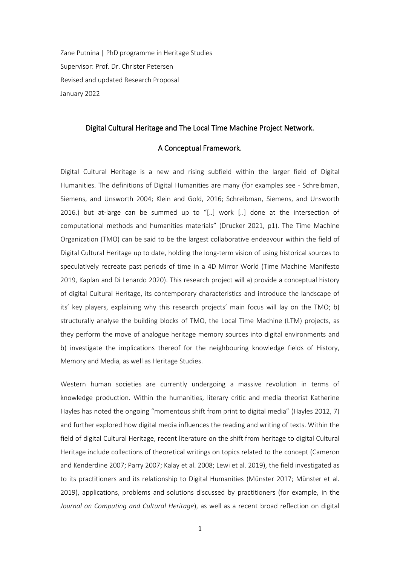Zane Putnina | PhD programme in Heritage Studies Supervisor: Prof. Dr. Christer Petersen Revised and updated Research Proposal January 2022

#### Digital Cultural Heritage and The Local Time Machine Project Network.

### A Conceptual Framework.

Digital Cultural Heritage is a new and rising subfield within the larger field of Digital Humanities. The definitions of Digital Humanities are many (for examples see - Schreibman, Siemens, and Unsworth 2004; Klein and Gold, 2016; Schreibman, Siemens, and Unsworth 2016.) but at-large can be summed up to "[..] work [..] done at the intersection of computational methods and humanities materials" (Drucker 2021, p1). The Time Machine Organization (TMO) can be said to be the largest collaborative endeavour within the field of Digital Cultural Heritage up to date, holding the long-term vision of using historical sources to speculatively recreate past periods of time in a 4D Mirror World (Time Machine Manifesto 2019, Kaplan and Di Lenardo 2020). This research project will a) provide a conceptual history of digital Cultural Heritage, its contemporary characteristics and introduce the landscape of its' key players, explaining why this research projects' main focus will lay on the TMO; b) structurally analyse the building blocks of TMO, the Local Time Machine (LTM) projects, as they perform the move of analogue heritage memory sources into digital environments and b) investigate the implications thereof for the neighbouring knowledge fields of History, Memory and Media, as well as Heritage Studies.

Western human societies are currently undergoing a massive revolution in terms of knowledge production. Within the humanities, literary critic and media theorist Katherine Hayles has noted the ongoing "momentous shift from print to digital media" (Hayles 2012, 7) and further explored how digital media influences the reading and writing of texts. Within the field of digital Cultural Heritage, recent literature on the shift from heritage to digital Cultural Heritage include collections of theoretical writings on topics related to the concept (Cameron and Kenderdine 2007; Parry 2007; Kalay et al. 2008; Lewi et al. 2019), the field investigated as to its practitioners and its relationship to Digital Humanities (Münster 2017; Münster et al. 2019), applications, problems and solutions discussed by practitioners (for example, in the *Journal on Computing and Cultural Heritage*), as well as a recent broad reflection on digital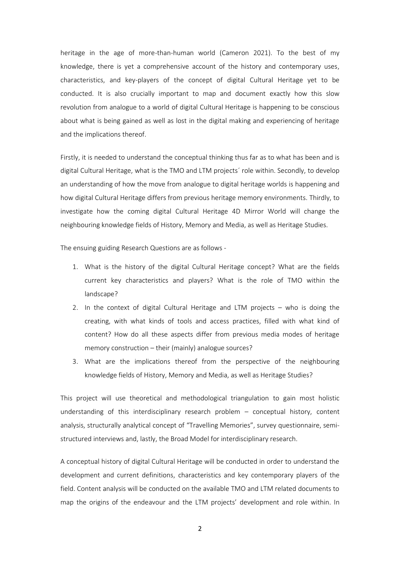heritage in the age of more-than-human world (Cameron 2021). To the best of my knowledge, there is yet a comprehensive account of the history and contemporary uses, characteristics, and key-players of the concept of digital Cultural Heritage yet to be conducted. It is also crucially important to map and document exactly how this slow revolution from analogue to a world of digital Cultural Heritage is happening to be conscious about what is being gained as well as lost in the digital making and experiencing of heritage and the implications thereof.

Firstly, it is needed to understand the conceptual thinking thus far as to what has been and is digital Cultural Heritage, what is the TMO and LTM projects´ role within. Secondly, to develop an understanding of how the move from analogue to digital heritage worlds is happening and how digital Cultural Heritage differs from previous heritage memory environments. Thirdly, to investigate how the coming digital Cultural Heritage 4D Mirror World will change the neighbouring knowledge fields of History, Memory and Media, as well as Heritage Studies.

The ensuing guiding Research Questions are as follows -

- 1. What is the history of the digital Cultural Heritage concept? What are the fields current key characteristics and players? What is the role of TMO within the landscape?
- 2. In the context of digital Cultural Heritage and LTM projects who is doing the creating, with what kinds of tools and access practices, filled with what kind of content? How do all these aspects differ from previous media modes of heritage memory construction – their (mainly) analogue sources?
- 3. What are the implications thereof from the perspective of the neighbouring knowledge fields of History, Memory and Media, as well as Heritage Studies?

This project will use theoretical and methodological triangulation to gain most holistic understanding of this interdisciplinary research problem – conceptual history, content analysis, structurally analytical concept of "Travelling Memories", survey questionnaire, semistructured interviews and, lastly, the Broad Model for interdisciplinary research.

A conceptual history of digital Cultural Heritage will be conducted in order to understand the development and current definitions, characteristics and key contemporary players of the field. Content analysis will be conducted on the available TMO and LTM related documents to map the origins of the endeavour and the LTM projects' development and role within. In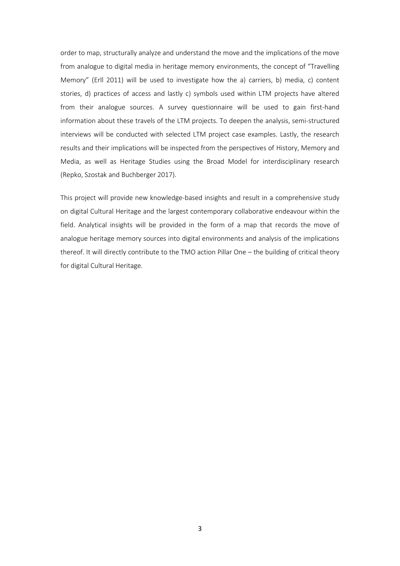order to map, structurally analyze and understand the move and the implications of the move from analogue to digital media in heritage memory environments, the concept of "Travelling Memory" (Erll 2011) will be used to investigate how the a) carriers, b) media, c) content stories, d) practices of access and lastly c) symbols used within LTM projects have altered from their analogue sources. A survey questionnaire will be used to gain first-hand information about these travels of the LTM projects. To deepen the analysis, semi-structured interviews will be conducted with selected LTM project case examples. Lastly, the research results and their implications will be inspected from the perspectives of History, Memory and Media, as well as Heritage Studies using the Broad Model for interdisciplinary research (Repko, Szostak and Buchberger 2017).

This project will provide new knowledge-based insights and result in a comprehensive study on digital Cultural Heritage and the largest contemporary collaborative endeavour within the field. Analytical insights will be provided in the form of a map that records the move of analogue heritage memory sources into digital environments and analysis of the implications thereof. It will directly contribute to the TMO action Pillar One – the building of critical theory for digital Cultural Heritage.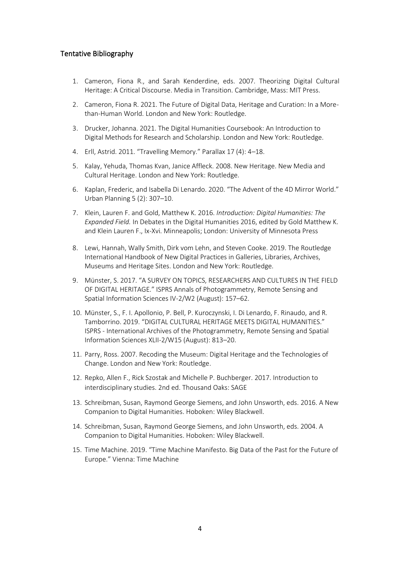# Tentative Bibliography

- 1. Cameron, Fiona R., and Sarah Kenderdine, eds. 2007. Theorizing Digital Cultural Heritage: A Critical Discourse. Media in Transition. Cambridge, Mass: MIT Press.
- 2. Cameron, Fiona R. 2021. The Future of Digital Data, Heritage and Curation: In a Morethan-Human World. London and New York: Routledge.
- 3. Drucker, Johanna. 2021. The Digital Humanities Coursebook: An Introduction to Digital Methods for Research and Scholarship. London and New York: Routledge.
- 4. Erll, Astrid. 2011. "Travelling Memory." Parallax 17 (4): 4–18.
- 5. Kalay, Yehuda, Thomas Kvan, Janice Affleck. 2008. New Heritage. New Media and Cultural Heritage. London and New York: Routledge.
- 6. Kaplan, Frederic, and Isabella Di Lenardo. 2020. "The Advent of the 4D Mirror World." Urban Planning 5 (2): 307–10.
- 7. Klein, Lauren F. and Gold, Matthew K. 2016. *Introduction: Digital Humanities: The Expanded Field.* In Debates in the Digital Humanities 2016, edited by Gold Matthew K. and Klein Lauren F., Ix-Xvi. Minneapolis; London: University of Minnesota Press
- 8. Lewi, Hannah, Wally Smith, Dirk vom Lehn, and Steven Cooke. 2019. The Routledge International Handbook of New Digital Practices in Galleries, Libraries, Archives, Museums and Heritage Sites. London and New York: Routledge.
- 9. Münster, S. 2017. "A SURVEY ON TOPICS, RESEARCHERS AND CULTURES IN THE FIELD OF DIGITAL HERITAGE." ISPRS Annals of Photogrammetry, Remote Sensing and Spatial Information Sciences IV-2/W2 (August): 157–62.
- 10. Münster, S., F. I. Apollonio, P. Bell, P. Kuroczynski, I. Di Lenardo, F. Rinaudo, and R. Tamborrino. 2019. "DIGITAL CULTURAL HERITAGE MEETS DIGITAL HUMANITIES." ISPRS - International Archives of the Photogrammetry, Remote Sensing and Spatial Information Sciences XLII-2/W15 (August): 813–20.
- 11. Parry, Ross. 2007. Recoding the Museum: Digital Heritage and the Technologies of Change. London and New York: Routledge.
- 12. Repko, Allen F., Rick Szostak and Michelle P. Buchberger. 2017. Introduction to interdisciplinary studies. 2nd ed. Thousand Oaks: SAGE
- 13. Schreibman, Susan, Raymond George Siemens, and John Unsworth, eds. 2016. A New Companion to Digital Humanities. Hoboken: Wiley Blackwell.
- 14. Schreibman, Susan, Raymond George Siemens, and John Unsworth, eds. 2004. A Companion to Digital Humanities. Hoboken: Wiley Blackwell.
- 15. Time Machine. 2019. "Time Machine Manifesto. Big Data of the Past for the Future of Europe." Vienna: Time Machine